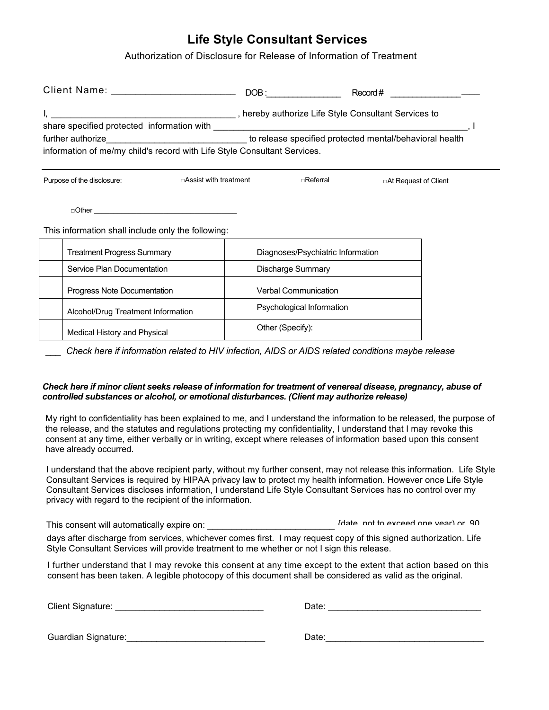## **Life Style Consultant Services**

Authorization of Disclosure for Release of Information of Treatment

|                                                      |                                                                                                                                                                                          |                                   | $\text{Record}\#$ ______________________ |  |
|------------------------------------------------------|------------------------------------------------------------------------------------------------------------------------------------------------------------------------------------------|-----------------------------------|------------------------------------------|--|
|                                                      |                                                                                                                                                                                          |                                   |                                          |  |
|                                                      | further authorize___________________________________ to release specified protected mental/behavioral health<br>information of me/my child's record with Life Style Consultant Services. |                                   |                                          |  |
| □Assist with treatment<br>Purpose of the disclosure: |                                                                                                                                                                                          | ⊓Referral                         | □At Request of Client                    |  |
|                                                      | This information shall include only the following:                                                                                                                                       |                                   |                                          |  |
|                                                      | <b>Treatment Progress Summary</b>                                                                                                                                                        | Diagnoses/Psychiatric Information |                                          |  |
|                                                      | Service Plan Documentation                                                                                                                                                               | Discharge Summary                 |                                          |  |
|                                                      | Progress Note Documentation                                                                                                                                                              | <b>Verbal Communication</b>       |                                          |  |
|                                                      | Alcohol/Drug Treatment Information                                                                                                                                                       | Psychological Information         |                                          |  |
|                                                      | Medical History and Physical                                                                                                                                                             | Other (Specify):                  |                                          |  |

*\_\_\_ Check here if information related to HIV infection, AIDS or AIDS related conditions maybe release*

## *Check here if minor client seeks release of information for treatment of venereal disease, pregnancy, abuse of controlled substances or alcohol, or emotional disturbances. (Client may authorize release)*

My right to confidentiality has been explained to me, and I understand the information to be released, the purpose of the release, and the statutes and regulations protecting my confidentiality, I understand that I may revoke this consent at any time, either verbally or in writing, except where releases of information based upon this consent have already occurred.

I understand that the above recipient party, without my further consent, may not release this information. Life Style Consultant Services is required by HIPAA privacy law to protect my health information. However once Life Style Consultant Services discloses information, I understand Life Style Consultant Services has no control over my privacy with regard to the recipient of the information.

This consent will automatically expire on: \_\_\_\_\_\_\_\_\_\_\_\_\_\_\_\_\_\_\_\_\_\_\_\_\_\_ {date, not to exceed one year) or, 90

days after discharge from services, whichever comes first. I may request copy of this signed authorization. Life Style Consultant Services will provide treatment to me whether or not I sign this release.

I further understand that I may revoke this consent at any time except to the extent that action based on this consent has been taken. A legible photocopy of this document shall be considered as valid as the original.

| <b>Client Signature:</b> |
|--------------------------|
|--------------------------|

Client Signature: \_\_\_\_\_\_\_\_\_\_\_\_\_\_\_\_\_\_\_\_\_\_\_\_\_\_\_\_\_\_ Date: \_\_\_\_\_\_\_\_\_\_\_\_\_\_\_\_\_\_\_\_\_\_\_\_\_\_\_\_\_\_\_

Guardian Signature: etc. All the set of the set of the set of the set of the set of the set of the set of the set of the set of the set of the set of the set of the set of the set of the set of the set of the set of the se